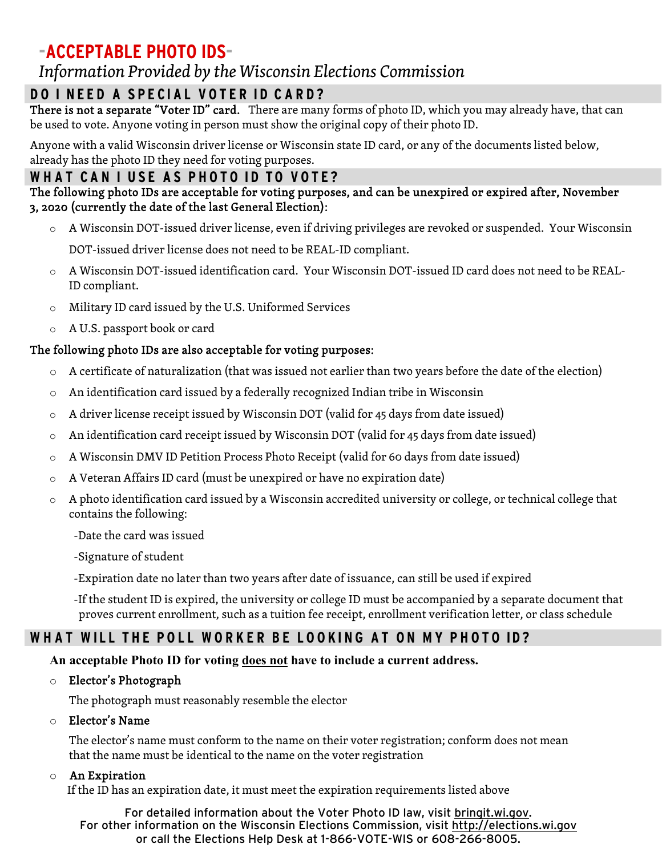# **-ACCEPTABLE PHOTO IDS-**

## *Information Provided by the Wisconsin Elections Commission*

### **DO I NEED A SPECIAL VOTER ID CA RD?**

There is not a separate "Voter ID" card. There are many forms of photo ID, which you may already have, that can be used to vote. Anyone voting in person must show the original copy of their photo ID.

Anyone with a valid Wisconsin driver license or Wisconsin state ID card, or any of the documents listed below, already has the photo ID they need for voting purposes.

#### **W H AT CA N I USE AS PHOTO ID TO VOTE?**

#### The following photo IDs are acceptable for voting purposes, and can be unexpired or expired after, November 3, 2020 (currently the date of the last General Election):

- o A Wisconsin DOT-issued driver license, even if driving privileges are revoked or suspended. Your Wisconsin DOT-issued driver license does not need to be REAL-ID compliant.
- o A Wisconsin DOT-issued identification card. Your Wisconsin DOT-issued ID card does not need to be REAL-ID compliant.
- o Military ID card issued by the U.S. Uniformed Services
- o A U.S. passport book or card

#### The following photo IDs are also acceptable for voting purposes:

- o A certificate of naturalization (that was issued not earlier than two years before the date of the election)
- o An identification card issued by a federally recognized Indian tribe in Wisconsin
- o A driver license receipt issued by Wisconsin DOT (valid for 45 days from date issued)
- o An identification card receipt issued by Wisconsin DOT (valid for 45 days from date issued)
- $\circ$  A Wisconsin DMV ID Petition Process Photo Receipt (valid for 60 days from date issued)
- o A Veteran Affairs ID card (must be unexpired or have no expiration date)
- o A photo identification card issued by a Wisconsin accredited university or college, or technical college that contains the following:
	- -Date the card was issued
	- -Signature of student
	- -Expiration date no later than two years after date of issuance, can still be used if expired
	- -If the student ID is expired, the university or college ID must be accompanied by a separate document that proves current enrollment, such as a tuition fee receipt, enrollment verification letter, or class schedule

## **WHAT WILL THE POLL WORKER BE LOOKING AT ON MY PHOTO ID?**

#### **An acceptable Photo ID for voting does not have to include a current address.**

o Elector's Photograph

The photograph must reasonably resemble the elector

#### o Elector's Name

The elector's name must conform to the name on their voter registration; conform does not mean that the name must be identical to the name on the voter registration

#### o An Expiration

If the ID has an expiration date, it must meet the expiration requirements listed above

For detailed information about the Voter Photo ID law, visit bringit.wi.gov. For other information on the Wisconsin Elections Commission, visit http://elections.wi.gov or call the Elections Help Desk at 1-866-VOTE-WIS or 608-266-8005.